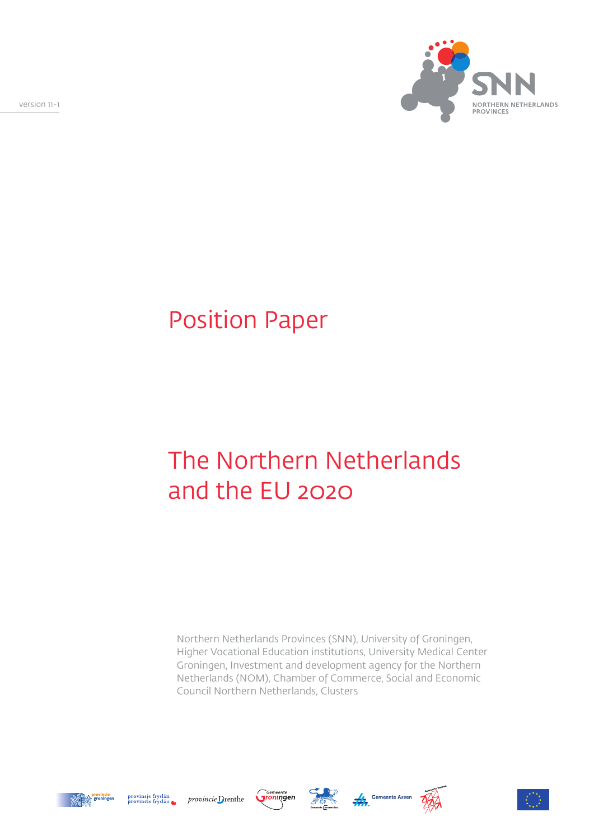version 11-1



# Position Paper

# The Northern Netherlands and the EU 2020

Northern Netherlands Provinces (SNN), University of Groningen, Higher Vocational Education institutions, University Medical Center Groningen, Investment and development agency for the Northern Netherlands (NOM), Chamber of Commerce, Social and Economic Council Northern Netherlands, Clusters













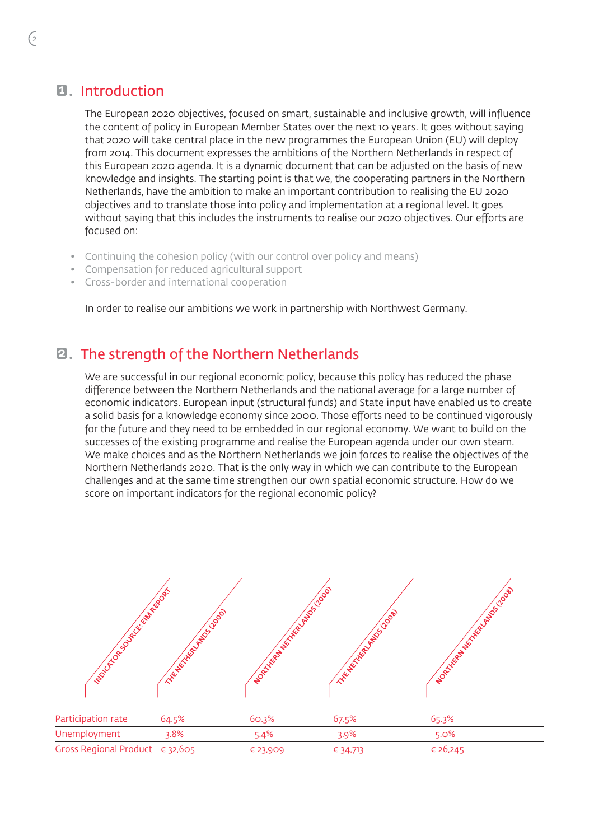#### **1.** Introduction

The European 2020 objectives, focused on smart, sustainable and inclusive growth, will influence the content of policy in European Member States over the next 10 years. It goes without saying that 2020 will take central place in the new programmes the European Union (EU) will deploy from 2014. This document expresses the ambitions of the Northern Netherlands in respect of this European 2020 agenda. It is a dynamic document that can be adjusted on the basis of new knowledge and insights. The starting point is that we, the cooperating partners in the Northern Netherlands, have the ambition to make an important contribution to realising the EU 2020 objectives and to translate those into policy and implementation at a regional level. It goes without saying that this includes the instruments to realise our 2020 objectives. Our efforts are focused on:

- Continuing the cohesion policy (with our control over policy and means)
- Compensation for reduced agricultural support
- Cross-border and international cooperation

In order to realise our ambitions we work in partnership with Northwest Germany.

#### 2. The strength of the Northern Netherlands

We are successful in our regional economic policy, because this policy has reduced the phase difference between the Northern Netherlands and the national average for a large number of economic indicators. European input (structural funds) and State input have enabled us to create a solid basis for a knowledge economy since 2000. Those efforts need to be continued vigorously for the future and they need to be embedded in our regional economy. We want to build on the successes of the existing programme and realise the European agenda under our own steam. We make choices and as the Northern Netherlands we join forces to realise the objectives of the Northern Netherlands 2020. That is the only way in which we can contribute to the European challenges and at the same time strengthen our own spatial economic structure. How do we score on important indicators for the regional economic policy?

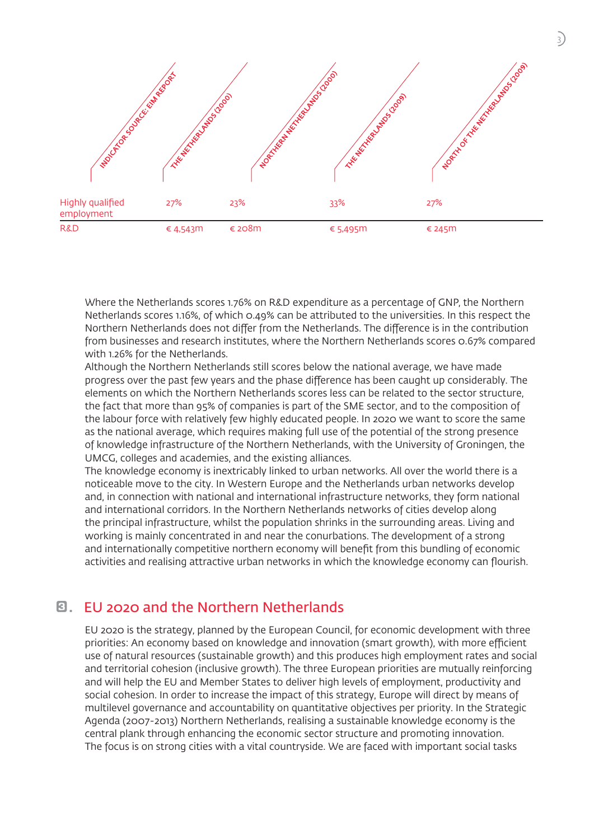

Where the Netherlands scores 1.76% on R&D expenditure as a percentage of GNP, the Northern Netherlands scores 1.16%, of which 0.49% can be attributed to the universities. In this respect the Northern Netherlands does not differ from the Netherlands. The difference is in the contribution from businesses and research institutes, where the Northern Netherlands scores 0.67% compared with 1.26% for the Netherlands.

Although the Northern Netherlands still scores below the national average, we have made progress over the past few years and the phase difference has been caught up considerably. The elements on which the Northern Netherlands scores less can be related to the sector structure, the fact that more than 95% of companies is part of the SME sector, and to the composition of the labour force with relatively few highly educated people. In 2020 we want to score the same as the national average, which requires making full use of the potential of the strong presence of knowledge infrastructure of the Northern Netherlands, with the University of Groningen, the UMCG, colleges and academies, and the existing alliances.

The knowledge economy is inextricably linked to urban networks. All over the world there is a noticeable move to the city. In Western Europe and the Netherlands urban networks develop and, in connection with national and international infrastructure networks, they form national and international corridors. In the Northern Netherlands networks of cities develop along the principal infrastructure, whilst the population shrinks in the surrounding areas. Living and working is mainly concentrated in and near the conurbations. The development of a strong and internationally competitive northern economy will benefit from this bundling of economic activities and realising attractive urban networks in which the knowledge economy can flourish.

#### 3. EU 2020 and the Northern Netherlands

EU 2020 is the strategy, planned by the European Council, for economic development with three priorities: An economy based on knowledge and innovation (smart growth), with more efficient use of natural resources (sustainable growth) and this produces high employment rates and social and territorial cohesion (inclusive growth). The three European priorities are mutually reinforcing and will help the EU and Member States to deliver high levels of employment, productivity and social cohesion. In order to increase the impact of this strategy, Europe will direct by means of multilevel governance and accountability on quantitative objectives per priority. In the Strategic Agenda (2007-2013) Northern Netherlands, realising a sustainable knowledge economy is the central plank through enhancing the economic sector structure and promoting innovation. The focus is on strong cities with a vital countryside. We are faced with important social tasks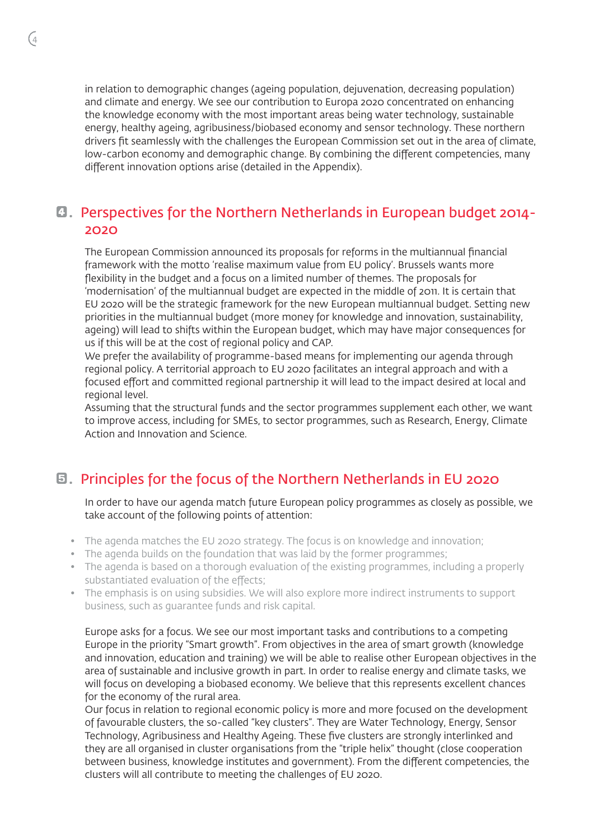in relation to demographic changes (ageing population, dejuvenation, decreasing population) and climate and energy. We see our contribution to Europa 2020 concentrated on enhancing the knowledge economy with the most important areas being water technology, sustainable energy, healthy ageing, agribusiness/biobased economy and sensor technology. These northern drivers fit seamlessly with the challenges the European Commission set out in the area of climate, low-carbon economy and demographic change. By combining the different competencies, many different innovation options arise (detailed in the Appendix).

#### **4. Perspectives for the Northern Netherlands in European budget 2014-**2020

The European Commission announced its proposals for reforms in the multiannual financial framework with the motto 'realise maximum value from EU policy'. Brussels wants more flexibility in the budget and a focus on a limited number of themes. The proposals for 'modernisation' of the multiannual budget are expected in the middle of 2011. It is certain that EU 2020 will be the strategic framework for the new European multiannual budget. Setting new priorities in the multiannual budget (more money for knowledge and innovation, sustainability, ageing) will lead to shifts within the European budget, which may have major consequences for us if this will be at the cost of regional policy and CAP.

We prefer the availability of programme-based means for implementing our agenda through regional policy. A territorial approach to EU 2020 facilitates an integral approach and with a focused effort and committed regional partnership it will lead to the impact desired at local and regional level.

Assuming that the structural funds and the sector programmes supplement each other, we want to improve access, including for SMEs, to sector programmes, such as Research, Energy, Climate Action and Innovation and Science.

#### 5. Principles for the focus of the Northern Netherlands in EU 2020

In order to have our agenda match future European policy programmes as closely as possible, we take account of the following points of attention:

- The agenda matches the EU 2020 strategy. The focus is on knowledge and innovation;
- The agenda builds on the foundation that was laid by the former programmes;
- The agenda is based on a thorough evaluation of the existing programmes, including a properly substantiated evaluation of the effects;
- The emphasis is on using subsidies. We will also explore more indirect instruments to support business, such as guarantee funds and risk capital.

Europe asks for a focus. We see our most important tasks and contributions to a competing Europe in the priority "Smart growth". From objectives in the area of smart growth (knowledge and innovation, education and training) we will be able to realise other European objectives in the area of sustainable and inclusive growth in part. In order to realise energy and climate tasks, we will focus on developing a biobased economy. We believe that this represents excellent chances for the economy of the rural area.

Our focus in relation to regional economic policy is more and more focused on the development of favourable clusters, the so-called "key clusters". They are Water Technology, Energy, Sensor Technology, Agribusiness and Healthy Ageing. These five clusters are strongly interlinked and they are all organised in cluster organisations from the "triple helix" thought (close cooperation between business, knowledge institutes and government). From the different competencies, the clusters will all contribute to meeting the challenges of EU 2020.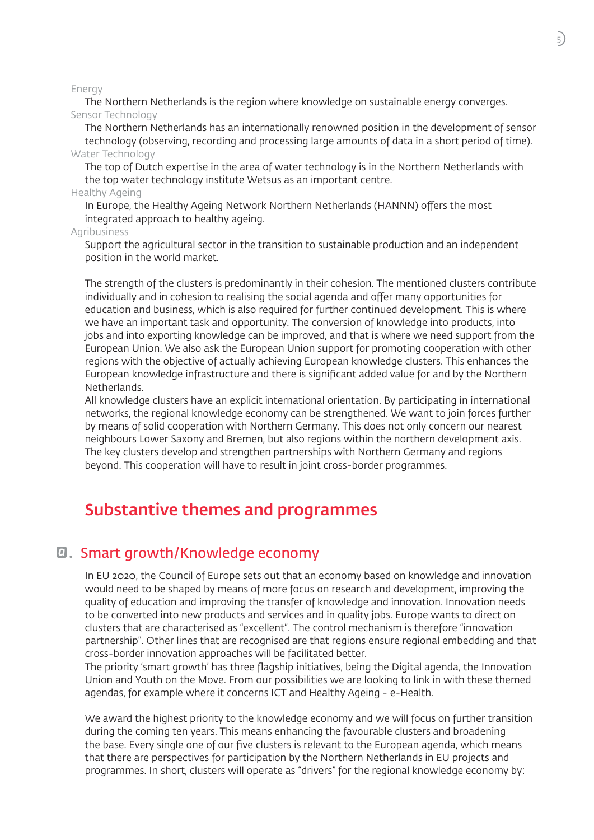Energy

The Northern Netherlands is the region where knowledge on sustainable energy converges. Sensor Technology

The Northern Netherlands has an internationally renowned position in the development of sensor technology (observing, recording and processing large amounts of data in a short period of time). Water Technology

The top of Dutch expertise in the area of water technology is in the Northern Netherlands with the top water technology institute Wetsus as an important centre.

#### Healthy Ageing

In Europe, the Healthy Ageing Network Northern Netherlands (HANNN) offers the most integrated approach to healthy ageing.

#### Agribusiness

Support the agricultural sector in the transition to sustainable production and an independent position in the world market.

The strength of the clusters is predominantly in their cohesion. The mentioned clusters contribute individually and in cohesion to realising the social agenda and offer many opportunities for education and business, which is also required for further continued development. This is where we have an important task and opportunity. The conversion of knowledge into products, into jobs and into exporting knowledge can be improved, and that is where we need support from the European Union. We also ask the European Union support for promoting cooperation with other regions with the objective of actually achieving European knowledge clusters. This enhances the European knowledge infrastructure and there is significant added value for and by the Northern Netherlands.

All knowledge clusters have an explicit international orientation. By participating in international networks, the regional knowledge economy can be strengthened. We want to join forces further by means of solid cooperation with Northern Germany. This does not only concern our nearest neighbours Lower Saxony and Bremen, but also regions within the northern development axis. The key clusters develop and strengthen partnerships with Northern Germany and regions beyond. This cooperation will have to result in joint cross-border programmes.

### Substantive themes and programmes

#### a. Smart growth/Knowledge economy

In EU 2020, the Council of Europe sets out that an economy based on knowledge and innovation would need to be shaped by means of more focus on research and development, improving the quality of education and improving the transfer of knowledge and innovation. Innovation needs to be converted into new products and services and in quality jobs. Europe wants to direct on clusters that are characterised as "excellent". The control mechanism is therefore "innovation partnership". Other lines that are recognised are that regions ensure regional embedding and that cross-border innovation approaches will be facilitated better.

The priority 'smart growth' has three flagship initiatives, being the Digital agenda, the Innovation Union and Youth on the Move. From our possibilities we are looking to link in with these themed agendas, for example where it concerns ICT and Healthy Ageing - e-Health.

We award the highest priority to the knowledge economy and we will focus on further transition during the coming ten years. This means enhancing the favourable clusters and broadening the base. Every single one of our five clusters is relevant to the European agenda, which means that there are perspectives for participation by the Northern Netherlands in EU projects and programmes. In short, clusters will operate as "drivers" for the regional knowledge economy by: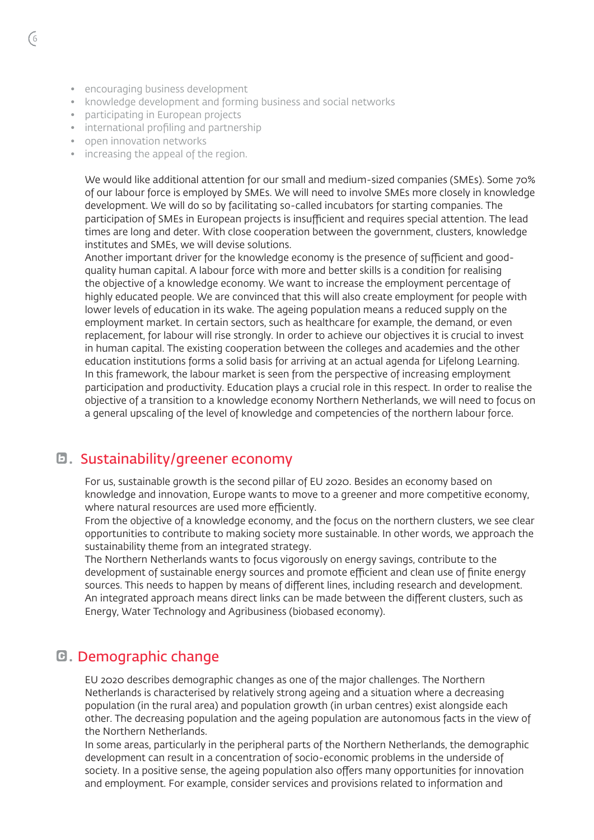- encouraging business development
- knowledge development and forming business and social networks
- participating in European projects
- international profiling and partnership
- open innovation networks
- increasing the appeal of the region.

We would like additional attention for our small and medium-sized companies (SMEs). Some 70% of our labour force is employed by SMEs. We will need to involve SMEs more closely in knowledge development. We will do so by facilitating so-called incubators for starting companies. The participation of SMEs in European projects is insufficient and requires special attention. The lead times are long and deter. With close cooperation between the government, clusters, knowledge institutes and SMEs, we will devise solutions.

Another important driver for the knowledge economy is the presence of sufficient and goodquality human capital. A labour force with more and better skills is a condition for realising the objective of a knowledge economy. We want to increase the employment percentage of highly educated people. We are convinced that this will also create employment for people with lower levels of education in its wake. The ageing population means a reduced supply on the employment market. In certain sectors, such as healthcare for example, the demand, or even replacement, for labour will rise strongly. In order to achieve our objectives it is crucial to invest in human capital. The existing cooperation between the colleges and academies and the other education institutions forms a solid basis for arriving at an actual agenda for Lifelong Learning. In this framework, the labour market is seen from the perspective of increasing employment participation and productivity. Education plays a crucial role in this respect. In order to realise the objective of a transition to a knowledge economy Northern Netherlands, we will need to focus on a general upscaling of the level of knowledge and competencies of the northern labour force.

#### b. Sustainability/greener economy

For us, sustainable growth is the second pillar of EU 2020. Besides an economy based on knowledge and innovation, Europe wants to move to a greener and more competitive economy, where natural resources are used more efficiently.

From the objective of a knowledge economy, and the focus on the northern clusters, we see clear opportunities to contribute to making society more sustainable. In other words, we approach the sustainability theme from an integrated strategy.

The Northern Netherlands wants to focus vigorously on energy savings, contribute to the development of sustainable energy sources and promote efficient and clean use of finite energy sources. This needs to happen by means of different lines, including research and development. An integrated approach means direct links can be made between the different clusters, such as Energy, Water Technology and Agribusiness (biobased economy).

#### **G. Demographic change**

EU 2020 describes demographic changes as one of the major challenges. The Northern Netherlands is characterised by relatively strong ageing and a situation where a decreasing population (in the rural area) and population growth (in urban centres) exist alongside each other. The decreasing population and the ageing population are autonomous facts in the view of the Northern Netherlands.

In some areas, particularly in the peripheral parts of the Northern Netherlands, the demographic development can result in a concentration of socio-economic problems in the underside of society. In a positive sense, the ageing population also offers many opportunities for innovation and employment. For example, consider services and provisions related to information and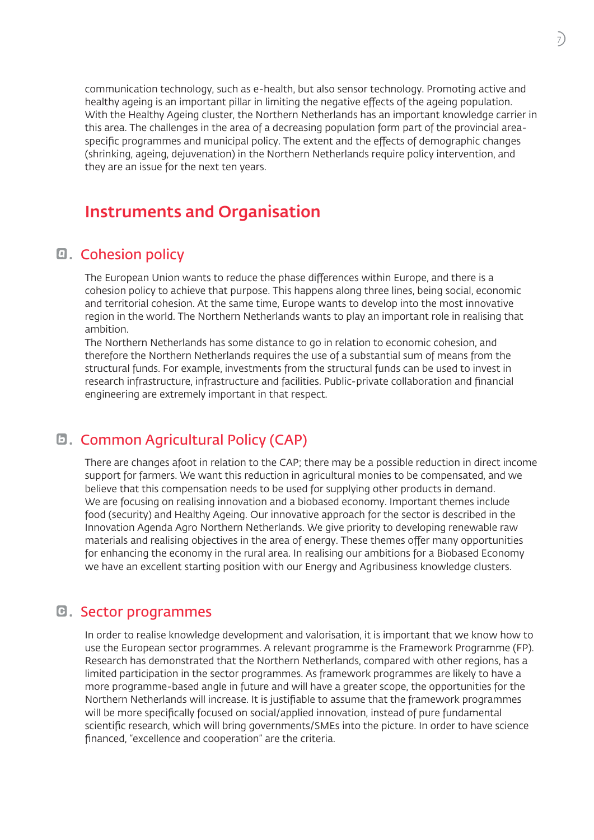communication technology, such as e-health, but also sensor technology. Promoting active and healthy ageing is an important pillar in limiting the negative effects of the ageing population. With the Healthy Ageing cluster, the Northern Netherlands has an important knowledge carrier in this area. The challenges in the area of a decreasing population form part of the provincial areaspecific programmes and municipal policy. The extent and the effects of demographic changes (shrinking, ageing, dejuvenation) in the Northern Netherlands require policy intervention, and they are an issue for the next ten years.

## Instruments and Organisation

#### **a.** Cohesion policy

The European Union wants to reduce the phase differences within Europe, and there is a cohesion policy to achieve that purpose. This happens along three lines, being social, economic and territorial cohesion. At the same time, Europe wants to develop into the most innovative region in the world. The Northern Netherlands wants to play an important role in realising that ambition.

The Northern Netherlands has some distance to go in relation to economic cohesion, and therefore the Northern Netherlands requires the use of a substantial sum of means from the structural funds. For example, investments from the structural funds can be used to invest in research infrastructure, infrastructure and facilities. Public-private collaboration and financial engineering are extremely important in that respect.

#### **D. Common Agricultural Policy (CAP)**

There are changes afoot in relation to the CAP; there may be a possible reduction in direct income support for farmers. We want this reduction in agricultural monies to be compensated, and we believe that this compensation needs to be used for supplying other products in demand. We are focusing on realising innovation and a biobased economy. Important themes include food (security) and Healthy Ageing. Our innovative approach for the sector is described in the Innovation Agenda Agro Northern Netherlands. We give priority to developing renewable raw materials and realising objectives in the area of energy. These themes offer many opportunities for enhancing the economy in the rural area. In realising our ambitions for a Biobased Economy we have an excellent starting position with our Energy and Agribusiness knowledge clusters.

#### **E.** Sector programmes

In order to realise knowledge development and valorisation, it is important that we know how to use the European sector programmes. A relevant programme is the Framework Programme (FP). Research has demonstrated that the Northern Netherlands, compared with other regions, has a limited participation in the sector programmes. As framework programmes are likely to have a more programme-based angle in future and will have a greater scope, the opportunities for the Northern Netherlands will increase. It is justifiable to assume that the framework programmes will be more specifically focused on social/applied innovation, instead of pure fundamental scientific research, which will bring governments/SMEs into the picture. In order to have science financed, "excellence and cooperation" are the criteria.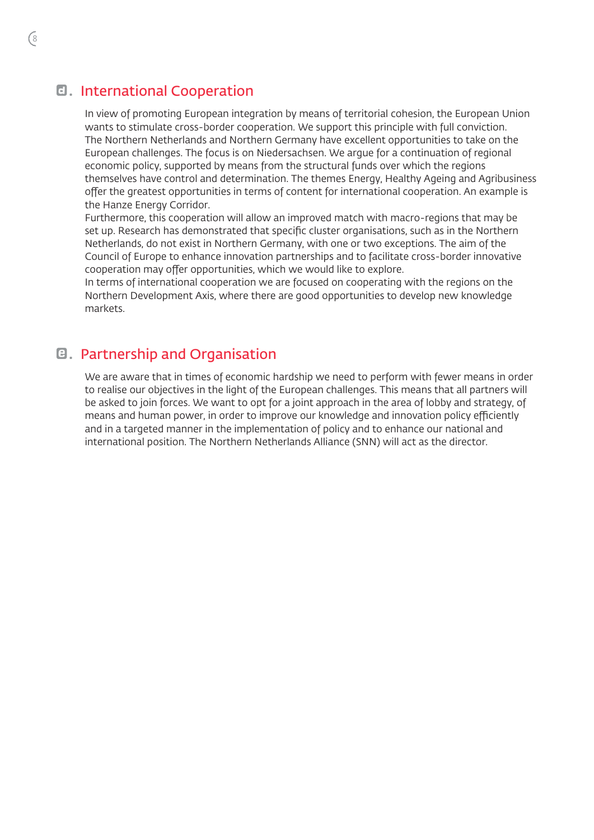#### d. International Cooperation

In view of promoting European integration by means of territorial cohesion, the European Union wants to stimulate cross-border cooperation. We support this principle with full conviction. The Northern Netherlands and Northern Germany have excellent opportunities to take on the European challenges. The focus is on Niedersachsen. We argue for a continuation of regional economic policy, supported by means from the structural funds over which the regions themselves have control and determination. The themes Energy, Healthy Ageing and Agribusiness offer the greatest opportunities in terms of content for international cooperation. An example is the Hanze Energy Corridor.

Furthermore, this cooperation will allow an improved match with macro-regions that may be set up. Research has demonstrated that specific cluster organisations, such as in the Northern Netherlands, do not exist in Northern Germany, with one or two exceptions. The aim of the Council of Europe to enhance innovation partnerships and to facilitate cross-border innovative cooperation may offer opportunities, which we would like to explore.

In terms of international cooperation we are focused on cooperating with the regions on the Northern Development Axis, where there are good opportunities to develop new knowledge markets.

#### e. Partnership and Organisation

We are aware that in times of economic hardship we need to perform with fewer means in order to realise our objectives in the light of the European challenges. This means that all partners will be asked to join forces. We want to opt for a joint approach in the area of lobby and strategy, of means and human power, in order to improve our knowledge and innovation policy efficiently and in a targeted manner in the implementation of policy and to enhance our national and international position. The Northern Netherlands Alliance (SNN) will act as the director.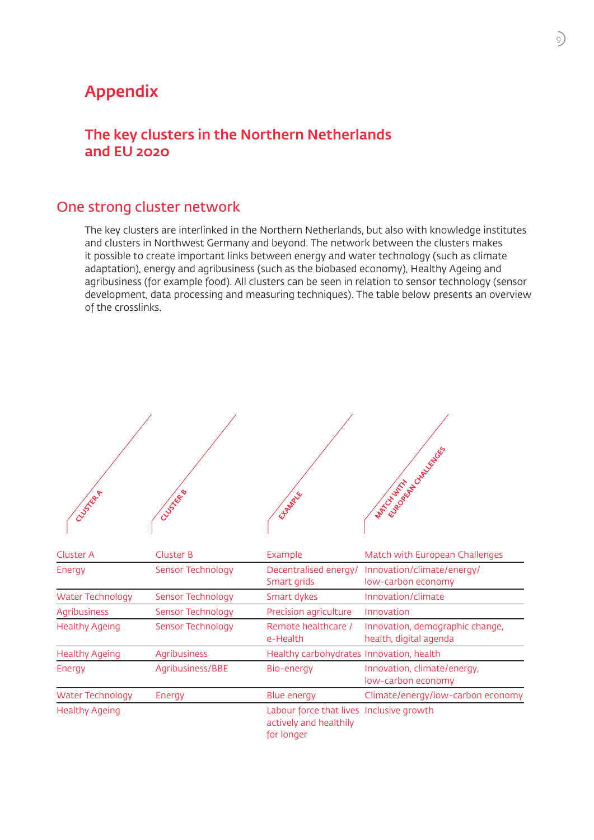## Appendix

## The key clusters in the Northern Netherlands and EU 2020

## One strong cluster network

The key clusters are interlinked in the Northern Netherlands, but also with knowledge institutes and clusters in Northwest Germany and beyond. The network between the clusters makes it possible to create important links between energy and water technology (such as climate adaptation), energy and agribusiness (such as the biobased economy), Healthy Ageing and agribusiness (for example food). All clusters can be seen in relation to sensor technology (sensor development, data processing and measuring techniques). The table below presents an overview of the crosslinks.

| CLUSTER P               | CLUSTER B         | Elfendig                                                                         | <b>MATCH AND THE REPORT ROLL FOR REPORT</b>               |
|-------------------------|-------------------|----------------------------------------------------------------------------------|-----------------------------------------------------------|
| Cluster A               | <b>Cluster B</b>  | Example                                                                          | Match with European Challenges                            |
| Energy                  | Sensor Technology | Decentralised energy/<br>Smart grids                                             | Innovation/climate/energy/<br>low-carbon economy          |
| <b>Water Technology</b> | Sensor Technology | Smart dykes                                                                      | Innovation/climate                                        |
| <b>Agribusiness</b>     | Sensor Technology | Precision agriculture                                                            | Innovation                                                |
| <b>Healthy Ageing</b>   | Sensor Technology | Remote healthcare /<br>e-Health                                                  | Innovation, demographic change,<br>health, digital agenda |
| <b>Healthy Ageing</b>   | Agribusiness      | Healthy carbohydrates Innovation, health                                         |                                                           |
| Energy                  | Agribusiness/BBE  | Bio-energy                                                                       | Innovation, climate/energy,<br>low-carbon economy         |
| <b>Water Technology</b> | Energy            | <b>Blue energy</b>                                                               | Climate/energy/low-carbon economy                         |
| <b>Healthy Ageing</b>   |                   | Labour force that lives Inclusive growth<br>actively and healthily<br>for longer |                                                           |